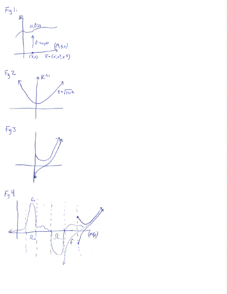





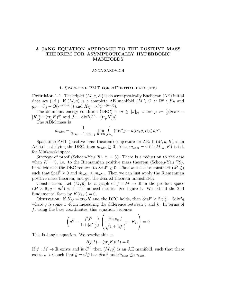# A JANG EQUATION APPROACH TO THE POSITIVE MASS THEOREM FOR ASYMPTOTICALLY HYPERBOLIC MANIFOLDS

### ANNA SAKOVICH

## 1. Spacetime PMT for AE initial data sets

**Definition 1.1.** The triplet  $(M, g, K)$  is an asymptotically Euclidean (AE) initial data set (i.d.) if  $(M, g)$  is a complete AE manifold  $(M \setminus C \simeq \mathbb{R}^n \setminus B_R$  and  $g_{ij} = \delta_{ij} + O(r^{-(n-2)})$  and  $K_{ij} = O(r^{-(n-1)})$ .

The dominant energy condition (DEC) is  $m \geq |J|_g$ , where  $\mu := \frac{1}{2}(\text{Scal}^g |K|_g^2 + (\text{tr}_g K)^2)$  and  $J := \text{div}^g (K - (\text{tr}_g K) g)$ .

The ADM mass is

$$
m_{adm} = \frac{1}{2(n-1)\omega_{n-1}} \lim_{R \to \infty} \int_{S_R} (\text{div}^{\sigma} g - d(tr_{\sigma} g) D_R) d\mu^{\sigma}.
$$

Spacetime PMT (positive mass theorem) conjecture for AE: If  $(M, q, K)$  is an AE i.d. satisfying the DEC, then  $m_{adm} \geq 0$ . Also,  $m_{adm} = 0$  iff  $(M, g, K)$  is i.d. for Minkowski space.

Strategy of proof (Schoen-Yau '81,  $n = 3$ ): There is a reduction to the case when  $K = 0$ , i.e. to the Riemannian positive mass theorem (Schoen-Yau '79), in which case the DEC reduces to Scal<sup>g</sup>  $\geq 0$ . Thus we need to construct  $(M, \tilde{g})$ such that Scal<sup> $\tilde{g} \geq 0$  and  $\tilde{m}_{adm} \leq m_{adm}$ . Then we can just apply the Riemannian</sup> positive mass theorem, and get the desired theorem immediately.

Construction: Let  $(M, \bar{g})$  be a graph of  $f : M \to \mathbb{R}$  in the product space  $(M \times \mathbb{R}, g + dt^2)$  with the induced metric. See figure 1. We extend the 2nd fundamental form by  $K(\partial_t, \cdot) = 0$ .

Observation: If  $H_{\bar{M}} = \text{tr}_{\bar{M}} K$  and the DEC holds, then  $\text{Scal}^{\bar{g}} \geq 2|q|^2_{\bar{g}} - 2 \text{div}^{\bar{g}} q$ where q is some 1 -form measuring the difference between  $g$  and  $k$ . In terms of  $f$ , using the base coordinates, this equation becomes

$$
\left(g^{ij} - \frac{f^i f^j}{1 + |df|_g^2}\right) \left(\frac{\text{Hess}_{ij} f}{\sqrt{1 + |df|_g^2}} - K_{ij}\right) = 0
$$

This is Jang's equation. We rewrite this as

 $H_a(f) - (\text{tr}_a K)(f) = 0.$ 

If  $f: M \to \mathbb{R}$  exists and is  $C^3$ , then  $(\bar{M}, \bar{g})$  is an AE manifold, such that there exists  $u > 0$  such that  $\tilde{g} = u^4 \bar{g}$  has Scal<sup> $\tilde{g}$ </sup> and  $\tilde{m}_{adm} \leq m_{adm}$ .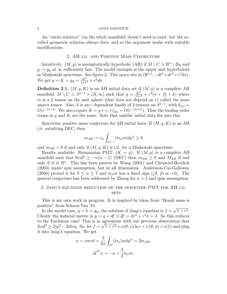#### 2 ANNA SAKOVICH

An "entire solution" (on the whole manifold) doesn't need to exist, but the socalled geometric solution always does, and so the argument works with suitable modifications.

### 2. AH i.d. and Positive Mass Conjecture

Intuitively:  $(M, g)$  is asymptotically hyperbolic (AH) if  $M \setminus C \simeq \mathbb{H}^n \setminus B_R$  and  $g \to g_{\text{H}}$  at  $\infty$  sufficiently fast. The model example is the upper unit hyperboloid in Minkowski spacetime. See figure 2. This space sits in  $(\mathbb{R}^{n,1}, -dt^2 + dr^2 + r^2 d\sigma)$ . We get  $g = K = g_{\mathbb{H}} = \frac{dr^2}{1+r^2}$  $\frac{dr^2}{1+r^2}+r^2d\sigma.$ 

**Definition 2.1.**  $(M, g, K)$  is an AH initial data set if  $(M, g)$  is a complete AH manifold,  $M \setminus C \simeq S^{n-1} \times (R, \infty)$  such that  $g = \frac{dr^2}{1+r^2}$  $\frac{dr^2}{1+r^2} + r^2(\sigma + \frac{m}{r^n} + h)$  where  $m$  is a 2 tensor on the unit sphere (that does not depend on  $r$ ) called the mass aspect tensor. Also, h is an r dependent family of 2-tensors on  $S^{n-1}$ , with  $h_{\alpha\beta} =$  $O(r^{-(n+1)})$ . We also require  $K = g + \gamma$ ,  $|\gamma|_{g_{\mathbb{H}}} = O(r^{-(n+1)})$ . Thus the leading order terms in  $q$  and  $K$  are the same. Note that umbilic initial data fits into this.

Spacetime positive mass conjecture for AH initial data: If  $(M, q, K)$  is an AH i.d. satisfying DEC, then

$$
m_{AH} := c_n \int_{S^{n-1}} (\text{tr}_{\sigma} m) d\mu^{\sigma} \ge 0
$$

and  $m_{AH} = 0$  if and only if  $(M, g, K)$  is i.d. for a Minkowski spacetime.

Results available: Riemannian PMT:  $(K = g)$ . If  $(M, g)$  is a complete AH manifold such that  $Scal^g \geq -n(n-1)$  (DEC) then  $m_{AH} \geq 0$  and  $M_{AH}$  if and only if it is  $\mathbb{H}^n$ . This has been proven by Wang (2001) and Chrusciel-Herzlich (2003) under spin assumption, but in all dimensions. Andersson-Cai-Galloway (2008) proved it for  $3 \leq n \leq 7$  and  $\text{tr}_{\sigma} m$  has a fixed sign (*i*,0, *i*0 or =0). The general conjecture has been addressed by Zhang for  $n = 3$  and spin assumption.

## 3. Jang's equation reduction of the spacetime PMT for AH i.d. **SETS**

This is my own work in progress. It is inspired by ideas from "Bondi mass is positive" from Schoen-Yau '81. √

In the model case,  $g = k = g_{\text{H}}$ , the solution of Jang's equation is  $f =$  $1 + r^2$ . Clearly the induced metric is  $\bar{g} = g + df \otimes df = dr^2 + r^2 \sigma = \delta$ . So this reduces to the Euclidean case! This is in agreement with our previous observation that Scal<sup> $\bar{g} \geq 2|q|^2 - 2 \text{div} q$ . So, let  $f = \sqrt{1+r^2} + \alpha(\theta, \phi) \ln r + \psi(\theta, \phi) + o(1)$  and plug</sup> it into Jang's equation. We get

$$
\alpha = const = \frac{3}{8\pi} \int_{S^2} (\text{tr}_{\sigma}) m d\mu^{\sigma} = 2m_{AH},
$$

$$
\Delta^{S^2} \psi = -\alpha + \frac{3}{2} \text{tr}_{\sigma} m.
$$